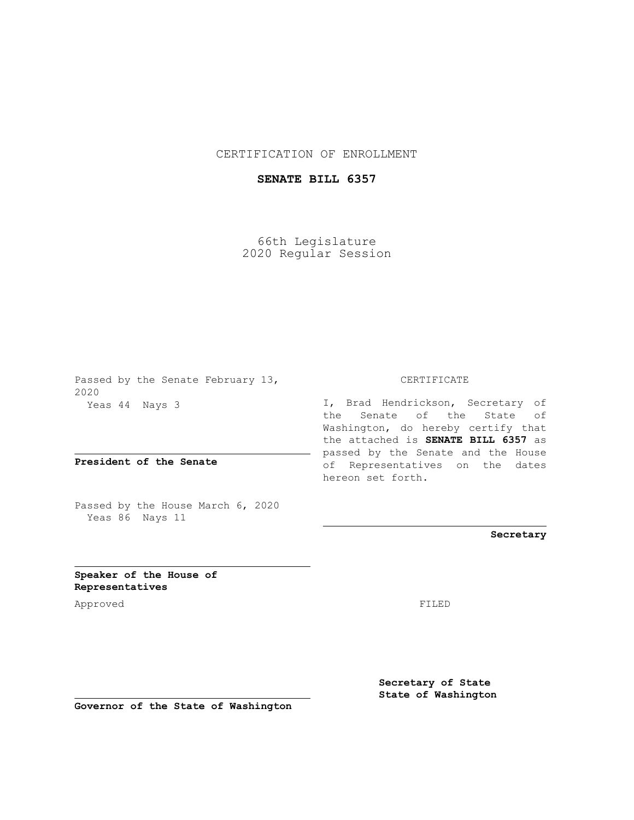## CERTIFICATION OF ENROLLMENT

## **SENATE BILL 6357**

66th Legislature 2020 Regular Session

Passed by the Senate February 13, 2020 Yeas 44 Nays 3

**President of the Senate**

Passed by the House March 6, 2020 Yeas 86 Nays 11

## CERTIFICATE

I, Brad Hendrickson, Secretary of the Senate of the State of Washington, do hereby certify that the attached is **SENATE BILL 6357** as passed by the Senate and the House of Representatives on the dates hereon set forth.

**Secretary**

**Speaker of the House of Representatives**

Approved FILED

**Secretary of State State of Washington**

**Governor of the State of Washington**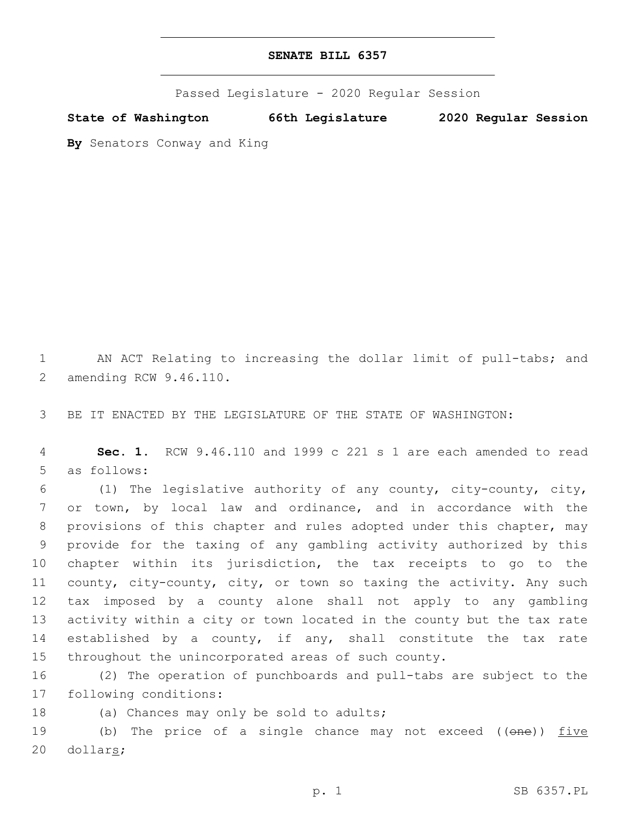Passed Legislature - 2020 Regular Session

**State of Washington 66th Legislature 2020 Regular Session**

**By** Senators Conway and King

1 AN ACT Relating to increasing the dollar limit of pull-tabs; and 2 amending RCW 9.46.110.

3 BE IT ENACTED BY THE LEGISLATURE OF THE STATE OF WASHINGTON:

4 **Sec. 1.** RCW 9.46.110 and 1999 c 221 s 1 are each amended to read 5 as follows:

 (1) The legislative authority of any county, city-county, city, or town, by local law and ordinance, and in accordance with the provisions of this chapter and rules adopted under this chapter, may provide for the taxing of any gambling activity authorized by this chapter within its jurisdiction, the tax receipts to go to the county, city-county, city, or town so taxing the activity. Any such tax imposed by a county alone shall not apply to any gambling activity within a city or town located in the county but the tax rate established by a county, if any, shall constitute the tax rate throughout the unincorporated areas of such county.

16 (2) The operation of punchboards and pull-tabs are subject to the 17 following conditions:

18 (a) Chances may only be sold to adults;

19 (b) The price of a single chance may not exceed ((one)) five 20 dollars;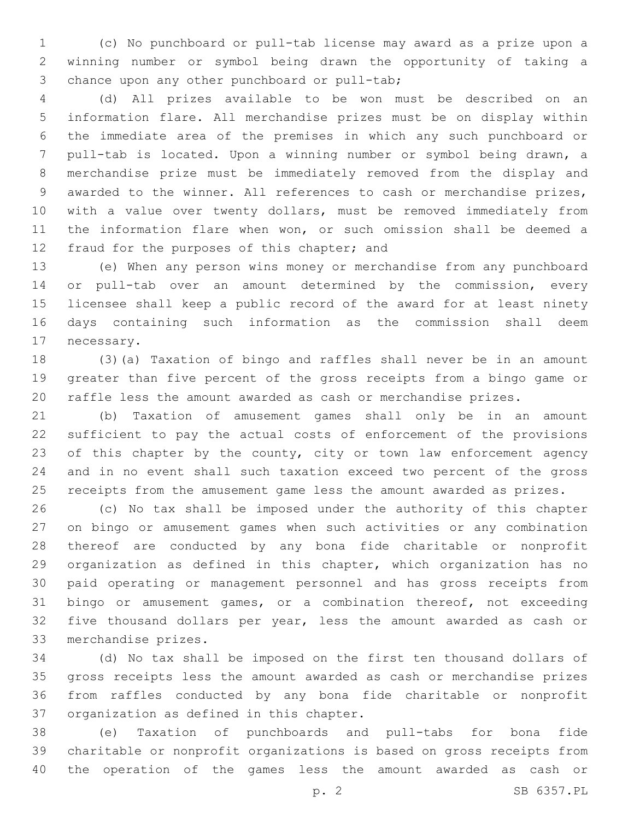(c) No punchboard or pull-tab license may award as a prize upon a winning number or symbol being drawn the opportunity of taking a 3 chance upon any other punchboard or pull-tab;

 (d) All prizes available to be won must be described on an information flare. All merchandise prizes must be on display within the immediate area of the premises in which any such punchboard or pull-tab is located. Upon a winning number or symbol being drawn, a merchandise prize must be immediately removed from the display and awarded to the winner. All references to cash or merchandise prizes, with a value over twenty dollars, must be removed immediately from the information flare when won, or such omission shall be deemed a 12 fraud for the purposes of this chapter; and

 (e) When any person wins money or merchandise from any punchboard or pull-tab over an amount determined by the commission, every licensee shall keep a public record of the award for at least ninety days containing such information as the commission shall deem 17 necessary.

 (3)(a) Taxation of bingo and raffles shall never be in an amount greater than five percent of the gross receipts from a bingo game or raffle less the amount awarded as cash or merchandise prizes.

 (b) Taxation of amusement games shall only be in an amount sufficient to pay the actual costs of enforcement of the provisions 23 of this chapter by the county, city or town law enforcement agency and in no event shall such taxation exceed two percent of the gross receipts from the amusement game less the amount awarded as prizes.

 (c) No tax shall be imposed under the authority of this chapter on bingo or amusement games when such activities or any combination thereof are conducted by any bona fide charitable or nonprofit organization as defined in this chapter, which organization has no paid operating or management personnel and has gross receipts from bingo or amusement games, or a combination thereof, not exceeding five thousand dollars per year, less the amount awarded as cash or 33 merchandise prizes.

 (d) No tax shall be imposed on the first ten thousand dollars of gross receipts less the amount awarded as cash or merchandise prizes from raffles conducted by any bona fide charitable or nonprofit 37 organization as defined in this chapter.

 (e) Taxation of punchboards and pull-tabs for bona fide charitable or nonprofit organizations is based on gross receipts from the operation of the games less the amount awarded as cash or

p. 2 SB 6357.PL